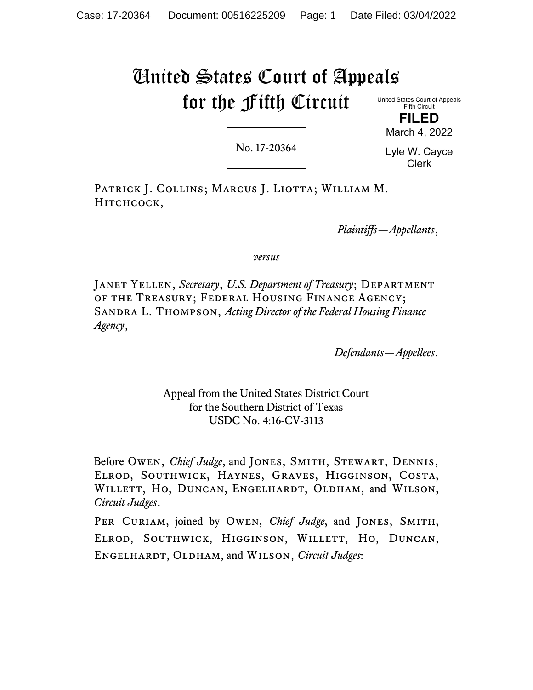# United States Court of Appeals for the Fifth Circuit

United States Court of Appeals Fifth Circuit **FILED**

No. 17-20364

Lyle W. Cayce Clerk

March 4, 2022

PATRICK J. COLLINS; MARCUS J. LIOTTA; WILLIAM M. HITCHCOCK,

*Plaintiffs—Appellants*,

*versus*

Janet Yellen, *Secretary*, *U.S. Department of Treasury*; Department of the Treasury; Federal Housing Finance Agency; Sandra L. Thompson, *Acting Director of the Federal Housing Finance Agency*,

*Defendants—Appellees*.

Appeal from the United States District Court for the Southern District of Texas USDC No. 4:16-CV-3113

Before Owen, *Chief Judge*, and JONES, SMITH, STEWART, DENNIS, Elrod, Southwick, Haynes, Graves, Higginson, Costa, WILLETT, HO, DUNCAN, ENGELHARDT, OLDHAM, and WILSON, *Circuit Judges*.

PER CURIAM, joined by OWEN, *Chief Judge*, and JONES, SMITH, Elrod, Southwick, Higginson, Willett, Ho, Duncan, Engelhardt, Oldham, and Wilson, *Circuit Judges*: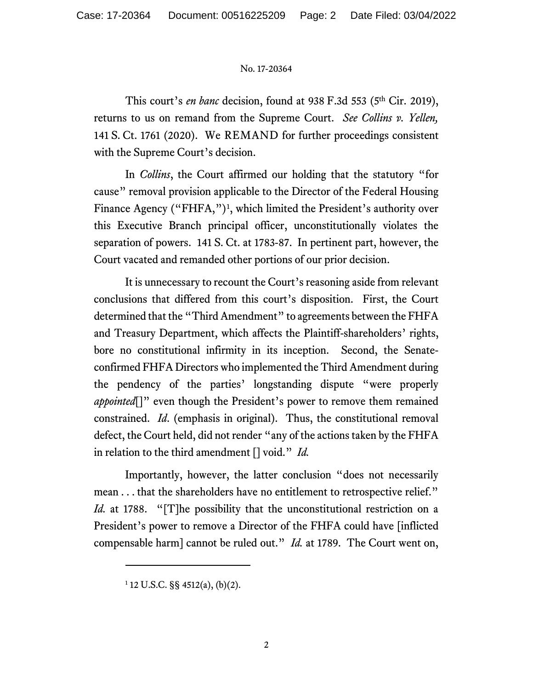This court's *en banc* decision, found at 938 F.3d 553 (5<sup>th</sup> Cir. 2019), returns to us on remand from the Supreme Court. *See Collins v. Yellen,*  141 S. Ct. 1761 (2020). We REMAND for further proceedings consistent with the Supreme Court's decision.

In *Collins*, the Court affirmed our holding that the statutory "for cause" removal provision applicable to the Director of the Federal Housing Finance Agency ("FHFA,")<sup>[1](#page-1-0)</sup>, which limited the President's authority over this Executive Branch principal officer, unconstitutionally violates the separation of powers. 141 S. Ct. at 1783-87. In pertinent part, however, the Court vacated and remanded other portions of our prior decision.

It is unnecessary to recount the Court's reasoning aside from relevant conclusions that differed from this court's disposition. First, the Court determined that the "Third Amendment" to agreements between the FHFA and Treasury Department, which affects the Plaintiff-shareholders' rights, bore no constitutional infirmity in its inception. Second, the Senateconfirmed FHFA Directors who implemented the Third Amendment during the pendency of the parties' longstanding dispute "were properly *appointed*<sup>[]"</sup> even though the President's power to remove them remained constrained. *Id*. (emphasis in original). Thus, the constitutional removal defect, the Court held, did not render "any of the actions taken by the FHFA in relation to the third amendment [] void." *Id.*

Importantly, however, the latter conclusion "does not necessarily mean . . . that the shareholders have no entitlement to retrospective relief." *Id.* at 1788. "[T]he possibility that the unconstitutional restriction on a President's power to remove a Director of the FHFA could have [inflicted compensable harm] cannot be ruled out." *Id.* at 1789. The Court went on,

<span id="page-1-0"></span> $1$  12 U.S.C. §§ 4512(a), (b)(2).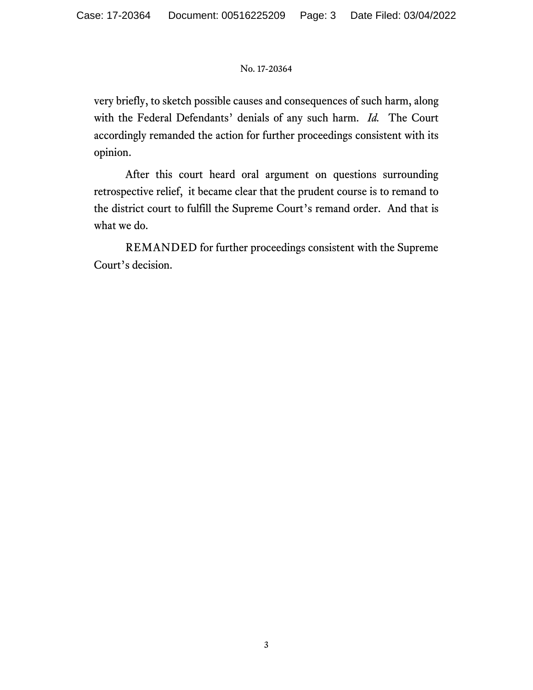very briefly, to sketch possible causes and consequences of such harm, along with the Federal Defendants' denials of any such harm. *Id.* The Court accordingly remanded the action for further proceedings consistent with its opinion.

After this court heard oral argument on questions surrounding retrospective relief, it became clear that the prudent course is to remand to the district court to fulfill the Supreme Court's remand order. And that is what we do.

REMANDED for further proceedings consistent with the Supreme Court's decision.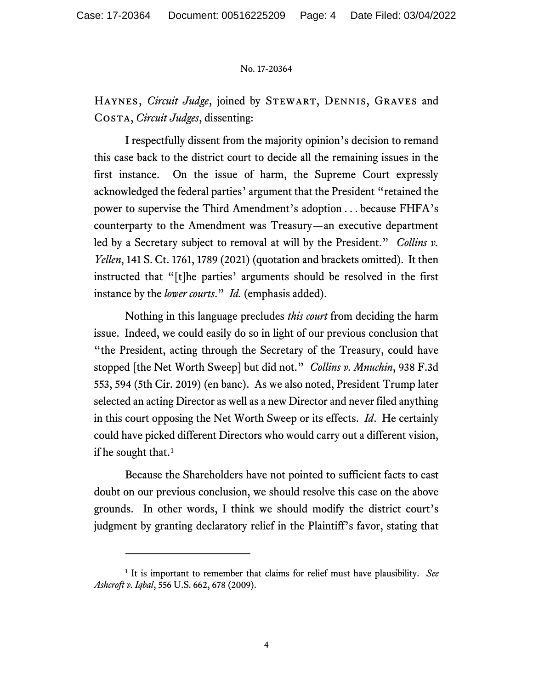Haynes, *Circuit Judge*, joined by Stewart, Dennis, Graves and Costa, *Circuit Judges*, dissenting:

I respectfully dissent from the majority opinion's decision to remand this case back to the district court to decide all the remaining issues in the first instance. On the issue of harm, the Supreme Court expressly acknowledged the federal parties' argument that the President "retained the power to supervise the Third Amendment's adoption . . . because FHFA's counterparty to the Amendment was Treasury—an executive department led by a Secretary subject to removal at will by the President." *Collins v. Yellen*, 141 S. Ct. 1761, 1789 (2021) (quotation and brackets omitted). It then instructed that "[t]he parties' arguments should be resolved in the first instance by the *lower courts*." *Id.* (emphasis added).

Nothing in this language precludes *this court* from deciding the harm issue. Indeed, we could easily do so in light of our previous conclusion that "the President, acting through the Secretary of the Treasury, could have stopped [the Net Worth Sweep] but did not." *Collins v. Mnuchin*, 938 F.3d 553, 594 (5th Cir. 2019) (en banc). As we also noted, President Trump later selected an acting Director as well as a new Director and never filed anything in this court opposing the Net Worth Sweep or its effects. *Id*. He certainly could have picked different Directors who would carry out a different vision, if he sought that.<sup>[1](#page-3-0)</sup>

Because the Shareholders have not pointed to sufficient facts to cast doubt on our previous conclusion, we should resolve this case on the above grounds. In other words, I think we should modify the district court's judgment by granting declaratory relief in the Plaintiff's favor, stating that

<span id="page-3-0"></span><sup>1</sup> It is important to remember that claims for relief must have plausibility. *See Ashcroft v. Iqbal*, 556 U.S. 662, 678 (2009).